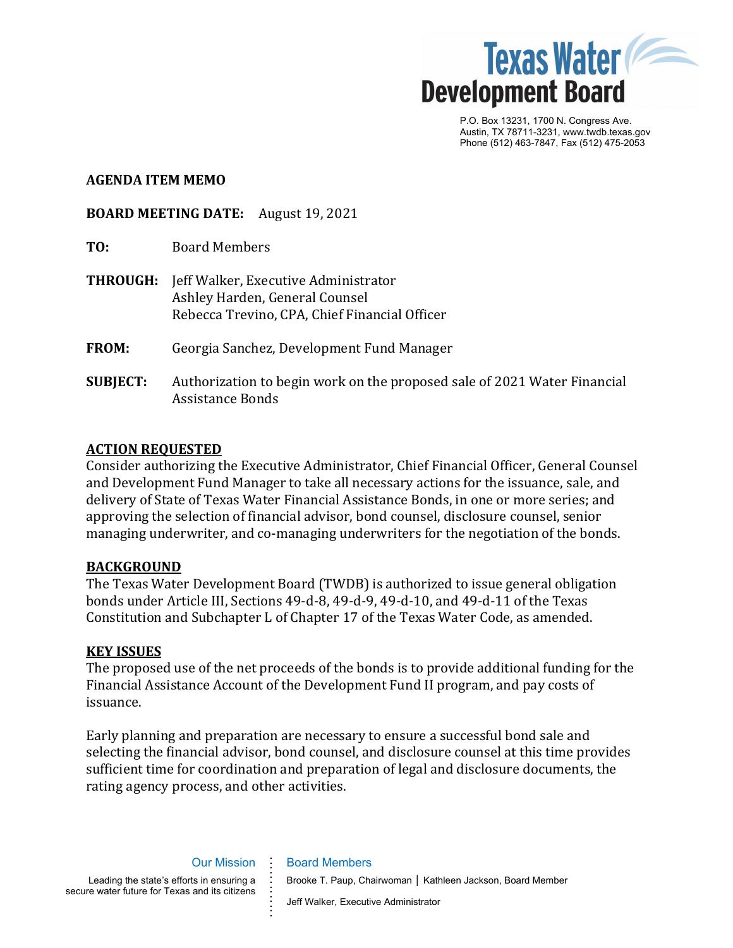

P.O. Box 13231, 1700 N. Congress Ave. Austin, TX 78711-3231, www.twdb.texas.gov Phone (512) 463-7847, Fax (512) 475-2053

### **AGENDA ITEM MEMO**

**BOARD MEETING DATE:** August 19, 2021

- **TO:** Board Members
- **THROUGH:** Jeff Walker, Executive Administrator Ashley Harden, General Counsel Rebecca Trevino, CPA, Chief Financial Officer
- **FROM:** Georgia Sanchez, Development Fund Manager
- **SUBJECT:** Authorization to begin work on the proposed sale of 2021 Water Financial Assistance Bonds

## **ACTION REQUESTED**

Consider authorizing the Executive Administrator, Chief Financial Officer, General Counsel and Development Fund Manager to take all necessary actions for the issuance, sale, and delivery of State of Texas Water Financial Assistance Bonds, in one or more series; and approving the selection of financial advisor, bond counsel, disclosure counsel, senior managing underwriter, and co-managing underwriters for the negotiation of the bonds.

## **BACKGROUND**

The Texas Water Development Board (TWDB) is authorized to issue general obligation bonds under Article III, Sections 49-d-8, 49-d-9, 49-d-10, and 49-d-11 of the Texas Constitution and Subchapter L of Chapter 17 of the Texas Water Code, as amended.

## **KEY ISSUES**

The proposed use of the net proceeds of the bonds is to provide additional funding for the Financial Assistance Account of the Development Fund II program, and pay costs of issuance.

Early planning and preparation are necessary to ensure a successful bond sale and selecting the financial advisor, bond counsel, and disclosure counsel at this time provides sufficient time for coordination and preparation of legal and disclosure documents, the rating agency process, and other activities.

Our Mission Leading the state's efforts in ensuring a secure water future for Texas and its citizens **. . . . . . .**

Board Members

**.**

**. . . . .** Brooke T. Paup, Chairwoman │ Kathleen Jackson, Board Member

Jeff Walker, Executive Administrator